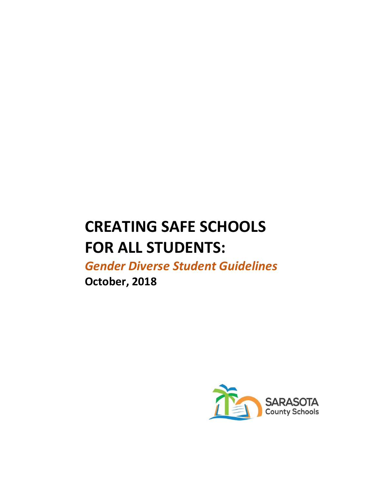# **CREATING SAFE SCHOOLS FOR ALL STUDENTS:**

*Gender Diverse Student Guidelines*

**October, 2018**

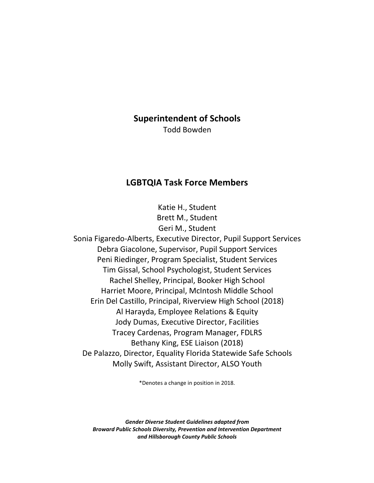### **Superintendent of Schools**

Todd Bowden

## **LGBTQIA Task Force Members**

Katie H., Student Brett M., Student Geri M., Student

Sonia Figaredo-Alberts, Executive Director, Pupil Support Services Debra Giacolone, Supervisor, Pupil Support Services Peni Riedinger, Program Specialist, Student Services Tim Gissal, School Psychologist, Student Services Rachel Shelley, Principal, Booker High School Harriet Moore, Principal, McIntosh Middle School Erin Del Castillo, Principal, Riverview High School (2018) Al Harayda, Employee Relations & Equity Jody Dumas, Executive Director, Facilities Tracey Cardenas, Program Manager, FDLRS Bethany King, ESE Liaison (2018) De Palazzo, Director, Equality Florida Statewide Safe Schools Molly Swift, Assistant Director, ALSO Youth

\*Denotes a change in position in 2018.

*Gender Diverse Student Guidelines adapted from Broward Public Schools Diversity, Prevention and Intervention Department and Hillsborough County Public Schools*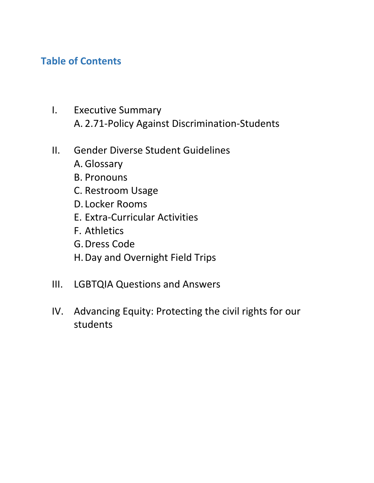# **Table of Contents**

- I. Executive Summary A. 2.71-Policy Against Discrimination-Students
- II. Gender Diverse Student Guidelines
	- A. Glossary
	- B. Pronouns
	- C. Restroom Usage
	- D. Locker Rooms
	- E. Extra-Curricular Activities
	- F. Athletics
	- G.Dress Code
	- H.Day and Overnight Field Trips
- III. LGBTQIA Questions and Answers
- IV. Advancing Equity: Protecting the civil rights for our students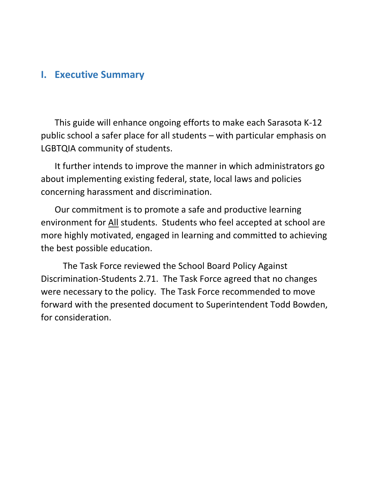# **I. Executive Summary**

This guide will enhance ongoing efforts to make each Sarasota K-12 public school a safer place for all students – with particular emphasis on LGBTQIA community of students.

It further intends to improve the manner in which administrators go about implementing existing federal, state, local laws and policies concerning harassment and discrimination.

Our commitment is to promote a safe and productive learning environment for All students. Students who feel accepted at school are more highly motivated, engaged in learning and committed to achieving the best possible education.

The Task Force reviewed the School Board Policy Against Discrimination-Students 2.71. The Task Force agreed that no changes were necessary to the policy. The Task Force recommended to move forward with the presented document to Superintendent Todd Bowden, for consideration.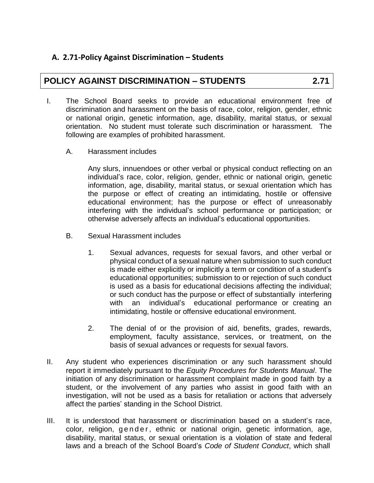## **A. 2.71-Policy Against Discrimination – Students**

# **POLICY AGAINST DISCRIMINATION – STUDENTS 2.71**

- I. The School Board seeks to provide an educational environment free of discrimination and harassment on the basis of race, color, religion, gender, ethnic or national origin, genetic information, age, disability, marital status, or sexual orientation. No student must tolerate such discrimination or harassment. The following are examples of prohibited harassment.
	- A. Harassment includes

Any slurs, innuendoes or other verbal or physical conduct reflecting on an individual's race, color, religion, gender, ethnic or national origin, genetic information, age, disability, marital status, or sexual orientation which has the purpose or effect of creating an intimidating, hostile or offensive educational environment; has the purpose or effect of unreasonably interfering with the individual's school performance or participation; or otherwise adversely affects an individual's educational opportunities.

- B. Sexual Harassment includes
	- 1. Sexual advances, requests for sexual favors, and other verbal or physical conduct of a sexual nature when submission to such conduct is made either explicitly or implicitly a term or condition of a student's educational opportunities; submission to or rejection of such conduct is used as a basis for educational decisions affecting the individual; or such conduct has the purpose or effect of substantially interfering with an individual's educational performance or creating an intimidating, hostile or offensive educational environment.
	- 2. The denial of or the provision of aid, benefits, grades, rewards, employment, faculty assistance, services, or treatment, on the basis of sexual advances or requests for sexual favors.
- II. Any student who experiences discrimination or any such harassment should report it immediately pursuant to the *Equity Procedures for Students Manual*. The initiation of any discrimination or harassment complaint made in good faith by a student, or the involvement of any parties who assist in good faith with an investigation, will not be used as a basis for retaliation or actions that adversely affect the parties' standing in the School District.
- III. It is understood that harassment or discrimination based on a student's race, color, religion, gender, ethnic or national origin, genetic information, age, disability, marital status, or sexual orientation is a violation of state and federal laws and a breach of the School Board's *Code of Student Conduct*, which shall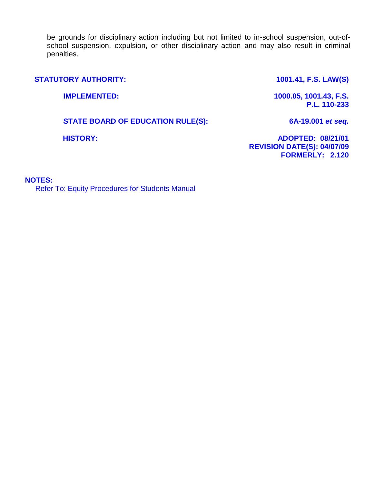be grounds for disciplinary action including but not limited to in-school suspension, out-ofschool suspension, expulsion, or other disciplinary action and may also result in criminal penalties.

**STATUTORY AUTHORITY: 1001.41, F.S. LAW(S)** 

**IMPLEMENTED: 1000.05, 1001.43, F.S. P.L. 110-233**

**STATE BOARD OF EDUCATION RULE(S): 6A-19.001** *et seq.*

**HISTORY: ADOPTED: 08/21/01 REVISION DATE(S): 04/07/09 FORMERLY: 2.120**

#### **NOTES:**

Refer To: Equity Procedures for Students Manual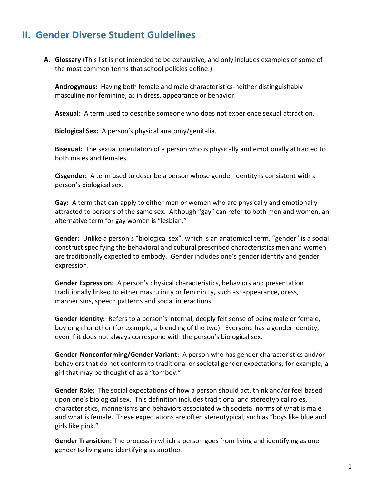# **II. Gender Diverse Student Guidelines**

**A. Glossary** (This list is not intended to be exhaustive, and only includes examples of some of the most common terms that school policies define.)

**Androgynous:** Having both female and male characteristics-neither distinguishably masculine nor feminine, as in dress, appearance or behavior.

**Asexual:** A term used to describe someone who does not experience sexual attraction.

**Biological Sex:** A person's physical anatomy/genitalia.

**Bisexual:** The sexual orientation of a person who is physically and emotionally attracted to both males and females.

**Cisgender:** A term used to describe a person whose gender identity is consistent with a person's biological sex.

**Gay:** A term that can apply to either men or women who are physically and emotionally attracted to persons of the same sex. Although "gay" can refer to both men and women, an alternative term for gay women is "lesbian."

**Gender:** Unlike a person's "biological sex", which is an anatomical term, "gender" is a social construct specifying the behavioral and cultural prescribed characteristics men and women are traditionally expected to embody. Gender includes one's gender identity and gender expression.

**Gender Expression:** A person's physical characteristics, behaviors and presentation traditionally linked to either masculinity or femininity, such as: appearance, dress, mannerisms, speech patterns and social interactions.

**Gender Identity:** Refers to a person's internal, deeply felt sense of being male or female, boy or girl or other (for example, a blending of the two). Everyone has a gender identity, even if it does not always correspond with the person's biological sex.

**Gender-Nonconforming/Gender Variant:** A person who has gender characteristics and/or behaviors that do not conform to traditional or societal gender expectations; for example, a girl that may be thought of as a "tomboy."

**Gender Role:** The social expectations of how a person should act, think and/or feel based upon one's biological sex. This definition includes traditional and stereotypical roles, characteristics, mannerisms and behaviors associated with societal norms of what is male and what is female. These expectations are often stereotypical, such as "boys like blue and girls like pink."

**Gender Transition:** The process in which a person goes from living and identifying as one gender to living and identifying as another.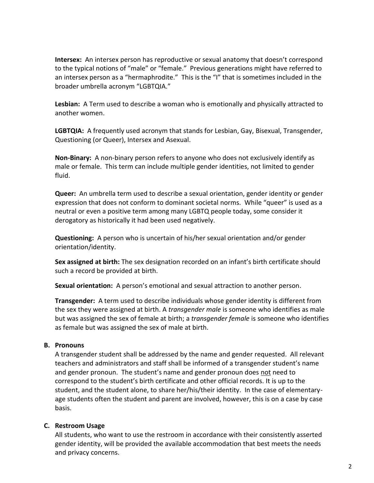**Intersex:** An intersex person has reproductive or sexual anatomy that doesn't correspond to the typical notions of "male" or "female." Previous generations might have referred to an intersex person as a "hermaphrodite." This is the "I" that is sometimes included in the broader umbrella acronym "LGBTQIA."

**Lesbian:** A Term used to describe a woman who is emotionally and physically attracted to another women.

**LGBTQIA:** A frequently used acronym that stands for Lesbian, Gay, Bisexual, Transgender, Questioning (or Queer), Intersex and Asexual.

**Non-Binary:** A non-binary person refers to anyone who does not exclusively identify as male or female. This term can include multiple gender identities, not limited to gender fluid.

**Queer:** An umbrella term used to describe a sexual orientation, gender identity or gender expression that does not conform to dominant societal norms. While "queer" is used as a neutral or even a positive term among many LGBTQ people today, some consider it derogatory as historically it had been used negatively.

**Questioning:** A person who is uncertain of his/her sexual orientation and/or gender orientation/identity.

**Sex assigned at birth:** The sex designation recorded on an infant's birth certificate should such a record be provided at birth.

**Sexual orientation:** A person's emotional and sexual attraction to another person.

**Transgender:** A term used to describe individuals whose gender identity is different from the sex they were assigned at birth. A *transgender male* is someone who identifies as male but was assigned the sex of female at birth; a *transgender female* is someone who identifies as female but was assigned the sex of male at birth.

#### **B. Pronouns**

A transgender student shall be addressed by the name and gender requested. All relevant teachers and administrators and staff shall be informed of a transgender student's name and gender pronoun. The student's name and gender pronoun does not need to correspond to the student's birth certificate and other official records. It is up to the student, and the student alone, to share her/his/their identity. In the case of elementaryage students often the student and parent are involved, however, this is on a case by case basis.

#### **C. Restroom Usage**

All students, who want to use the restroom in accordance with their consistently asserted gender identity, will be provided the available accommodation that best meets the needs and privacy concerns.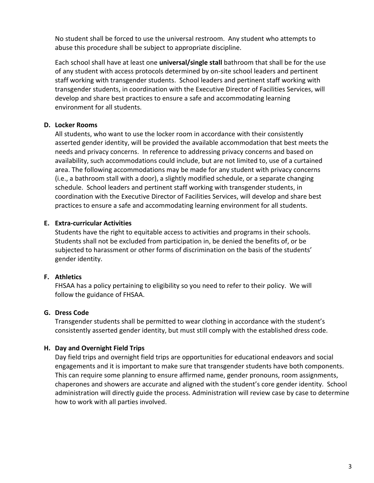No student shall be forced to use the universal restroom. Any student who attempts to abuse this procedure shall be subject to appropriate discipline.

Each school shall have at least one **universal/single stall** bathroom that shall be for the use of any student with access protocols determined by on-site school leaders and pertinent staff working with transgender students. School leaders and pertinent staff working with transgender students, in coordination with the Executive Director of Facilities Services, will develop and share best practices to ensure a safe and accommodating learning environment for all students.

#### **D. Locker Rooms**

All students, who want to use the locker room in accordance with their consistently asserted gender identity, will be provided the available accommodation that best meets the needs and privacy concerns. In reference to addressing privacy concerns and based on availability, such accommodations could include, but are not limited to, use of a curtained area. The following accommodations may be made for any student with privacy concerns (i.e., a bathroom stall with a door), a slightly modified schedule, or a separate changing schedule. School leaders and pertinent staff working with transgender students, in coordination with the Executive Director of Facilities Services, will develop and share best practices to ensure a safe and accommodating learning environment for all students.

#### **E. Extra-curricular Activities**

Students have the right to equitable access to activities and programs in their schools. Students shall not be excluded from participation in, be denied the benefits of, or be subjected to harassment or other forms of discrimination on the basis of the students' gender identity.

#### **F. Athletics**

FHSAA has a policy pertaining to eligibility so you need to refer to their policy. We will follow the guidance of FHSAA.

#### **G. Dress Code**

Transgender students shall be permitted to wear clothing in accordance with the student's consistently asserted gender identity, but must still comply with the established dress code.

#### **H. Day and Overnight Field Trips**

Day field trips and overnight field trips are opportunities for educational endeavors and social engagements and it is important to make sure that transgender students have both components. This can require some planning to ensure affirmed name, gender pronouns, room assignments, chaperones and showers are accurate and aligned with the student's core gender identity. School administration will directly guide the process. Administration will review case by case to determine how to work with all parties involved.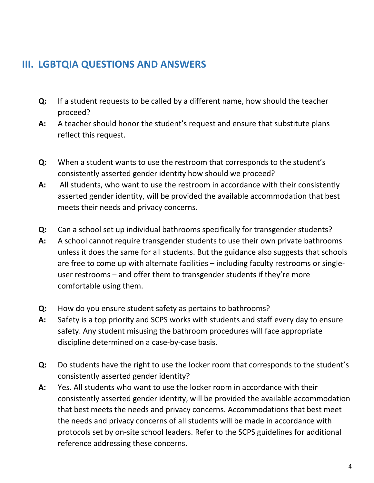# **III. LGBTQIA QUESTIONS AND ANSWERS**

- **Q:** If a student requests to be called by a different name, how should the teacher proceed?
- **A:** A teacher should honor the student's request and ensure that substitute plans reflect this request.
- **Q:** When a student wants to use the restroom that corresponds to the student's consistently asserted gender identity how should we proceed?
- **A:** All students, who want to use the restroom in accordance with their consistently asserted gender identity, will be provided the available accommodation that best meets their needs and privacy concerns.
- **Q:** Can a school set up individual bathrooms specifically for transgender students?
- **A:** A school cannot require transgender students to use their own private bathrooms unless it does the same for all students. But the guidance also suggests that schools are free to come up with alternate facilities – including faculty restrooms or singleuser restrooms – and offer them to transgender students if they're more comfortable using them.
- **Q:** How do you ensure student safety as pertains to bathrooms?
- **A:** Safety is a top priority and SCPS works with students and staff every day to ensure safety. Any student misusing the bathroom procedures will face appropriate discipline determined on a case-by-case basis.
- **Q:** Do students have the right to use the locker room that corresponds to the student's consistently asserted gender identity?
- **A:** Yes. All students who want to use the locker room in accordance with their consistently asserted gender identity, will be provided the available accommodation that best meets the needs and privacy concerns. Accommodations that best meet the needs and privacy concerns of all students will be made in accordance with protocols set by on-site school leaders. Refer to the SCPS guidelines for additional reference addressing these concerns.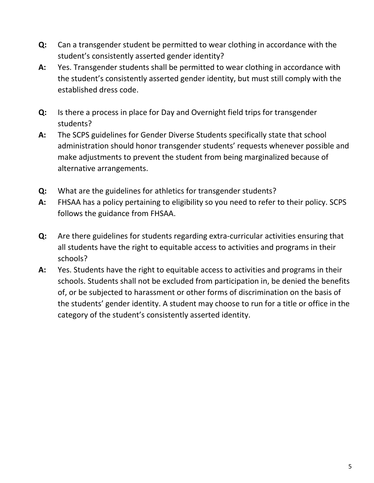- **Q:** Can a transgender student be permitted to wear clothing in accordance with the student's consistently asserted gender identity?
- **A:** Yes. Transgender students shall be permitted to wear clothing in accordance with the student's consistently asserted gender identity, but must still comply with the established dress code.
- **Q:** Is there a process in place for Day and Overnight field trips for transgender students?
- **A:** The SCPS guidelines for Gender Diverse Students specifically state that school administration should honor transgender students' requests whenever possible and make adjustments to prevent the student from being marginalized because of alternative arrangements.
- **Q:** What are the guidelines for athletics for transgender students?
- **A:** FHSAA has a policy pertaining to eligibility so you need to refer to their policy. SCPS follows the guidance from FHSAA.
- **Q:** Are there guidelines for students regarding extra-curricular activities ensuring that all students have the right to equitable access to activities and programs in their schools?
- **A:** Yes. Students have the right to equitable access to activities and programs in their schools. Students shall not be excluded from participation in, be denied the benefits of, or be subjected to harassment or other forms of discrimination on the basis of the students' gender identity. A student may choose to run for a title or office in the category of the student's consistently asserted identity.